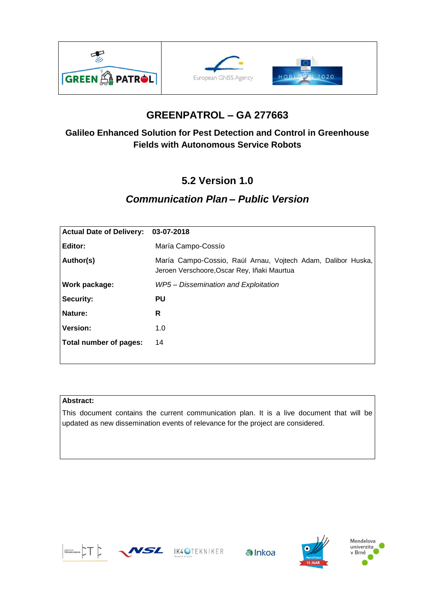





# **GREENPATROL – GA 277663**

### **Galileo Enhanced Solution for Pest Detection and Control in Greenhouse Fields with Autonomous Service Robots**

# **5.2 Version 1.0**

## *Communication Plan – Public Version*

| <b>Actual Date of Delivery:</b> | 03-07-2018                                                                                                  |
|---------------------------------|-------------------------------------------------------------------------------------------------------------|
| Editor:                         | María Campo-Cossío                                                                                          |
| Author(s)                       | María Campo-Cossio, Raúl Arnau, Vojtech Adam, Dalibor Huska,<br>Jeroen Verschoore, Oscar Rey, Iñaki Maurtua |
| Work package:                   | WP5 – Dissemination and Exploitation                                                                        |
| <b>Security:</b>                | PU                                                                                                          |
| Nature:                         | R                                                                                                           |
| <b>Version:</b>                 | 1.0                                                                                                         |
| Total number of pages:          | 14                                                                                                          |

### **Abstract:**

This document contains the current communication plan. It is a live document that will be updated as new dissemination events of relevance for the project are considered.



WSZ IK4OTEKNIKER





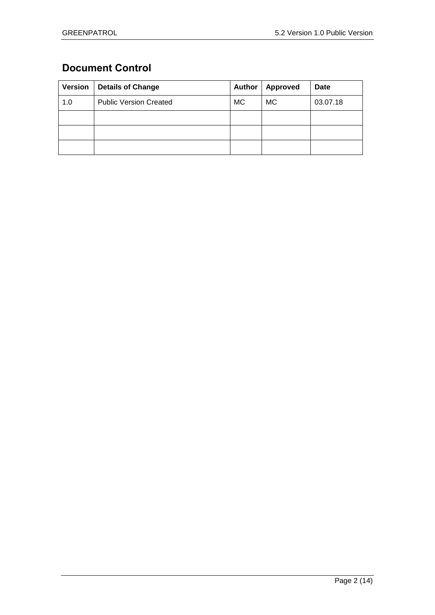## <span id="page-1-0"></span>**Document Control**

| Version | <b>Details of Change</b>      | <b>Author</b> | <b>Approved</b> | <b>Date</b> |
|---------|-------------------------------|---------------|-----------------|-------------|
| 1.0     | <b>Public Version Created</b> | <b>MC</b>     | МC              | 03.07.18    |
|         |                               |               |                 |             |
|         |                               |               |                 |             |
|         |                               |               |                 |             |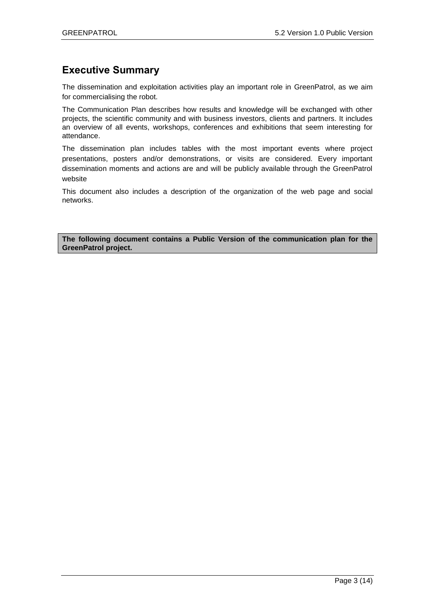## <span id="page-2-0"></span>**Executive Summary**

The dissemination and exploitation activities play an important role in GreenPatrol, as we aim for commercialising the robot.

The Communication Plan describes how results and knowledge will be exchanged with other projects, the scientific community and with business investors, clients and partners. It includes an overview of all events, workshops, conferences and exhibitions that seem interesting for attendance.

The dissemination plan includes tables with the most important events where project presentations, posters and/or demonstrations, or visits are considered. Every important dissemination moments and actions are and will be publicly available through the GreenPatrol website

This document also includes a description of the organization of the web page and social networks.

**The following document contains a Public Version of the communication plan for the GreenPatrol project.**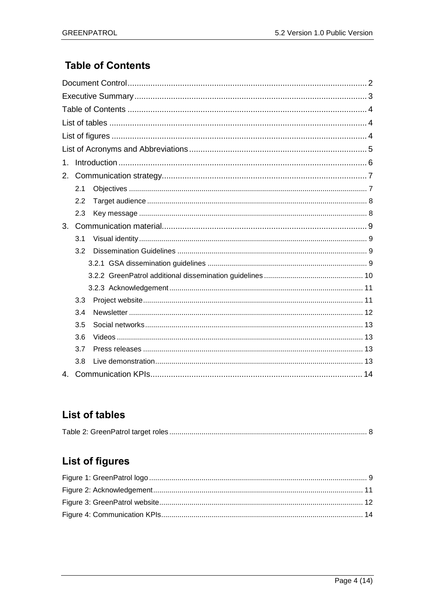## <span id="page-3-0"></span>**Table of Contents**

| 1.           |     |  |  |
|--------------|-----|--|--|
| 2.           |     |  |  |
|              | 2.1 |  |  |
|              | 2.2 |  |  |
|              | 2.3 |  |  |
| 3.           |     |  |  |
|              | 3.1 |  |  |
|              | 3.2 |  |  |
|              |     |  |  |
|              |     |  |  |
|              |     |  |  |
|              | 3.3 |  |  |
|              | 3.4 |  |  |
|              | 3.5 |  |  |
|              | 3.6 |  |  |
|              | 3.7 |  |  |
|              | 3.8 |  |  |
| $\mathbf{4}$ |     |  |  |

# <span id="page-3-1"></span>**List of tables**

|--|

# <span id="page-3-2"></span>**List of figures**

<span id="page-3-3"></span>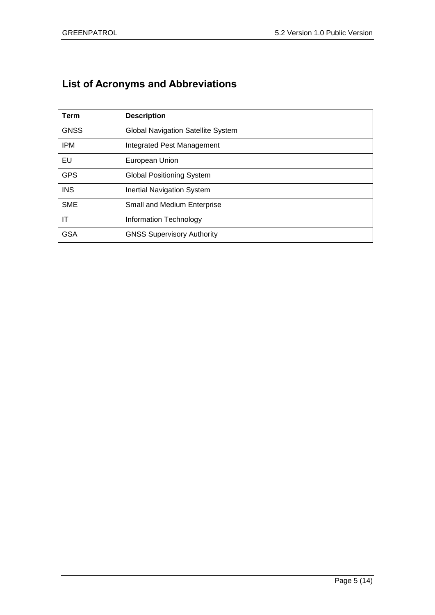# **List of Acronyms and Abbreviations**

| <b>Term</b> | <b>Description</b>                        |
|-------------|-------------------------------------------|
| <b>GNSS</b> | <b>Global Navigation Satellite System</b> |
| <b>IPM</b>  | Integrated Pest Management                |
| EU          | European Union                            |
| <b>GPS</b>  | <b>Global Positioning System</b>          |
| <b>INS</b>  | <b>Inertial Navigation System</b>         |
| <b>SME</b>  | <b>Small and Medium Enterprise</b>        |
| IT          | Information Technology                    |
| <b>GSA</b>  | <b>GNSS Supervisory Authority</b>         |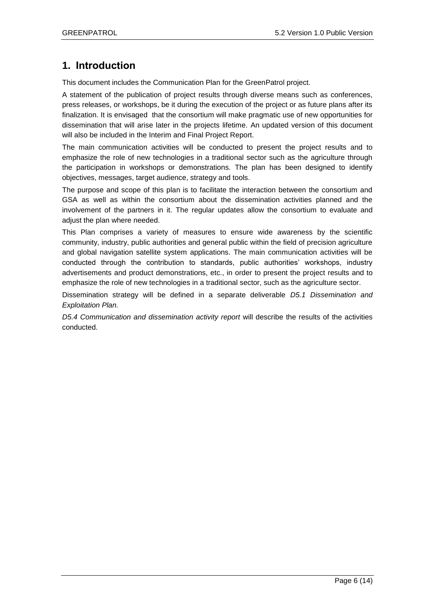### <span id="page-5-0"></span>**1. Introduction**

This document includes the Communication Plan for the GreenPatrol project.

A statement of the publication of project results through diverse means such as conferences, press releases, or workshops, be it during the execution of the project or as future plans after its finalization. It is envisaged that the consortium will make pragmatic use of new opportunities for dissemination that will arise later in the projects lifetime. An updated version of this document will also be included in the Interim and Final Project Report.

The main communication activities will be conducted to present the project results and to emphasize the role of new technologies in a traditional sector such as the agriculture through the participation in workshops or demonstrations. The plan has been designed to identify objectives, messages, target audience, strategy and tools.

The purpose and scope of this plan is to facilitate the interaction between the consortium and GSA as well as within the consortium about the dissemination activities planned and the involvement of the partners in it. The regular updates allow the consortium to evaluate and adjust the plan where needed.

This Plan comprises a variety of measures to ensure wide awareness by the scientific community, industry, public authorities and general public within the field of precision agriculture and global navigation satellite system applications. The main communication activities will be conducted through the contribution to standards, public authorities' workshops, industry advertisements and product demonstrations, etc., in order to present the project results and to emphasize the role of new technologies in a traditional sector, such as the agriculture sector.

Dissemination strategy will be defined in a separate deliverable *D5.1 Dissemination and Exploitation Plan.*

*D5.4 Communication and dissemination activity report* will describe the results of the activities conducted.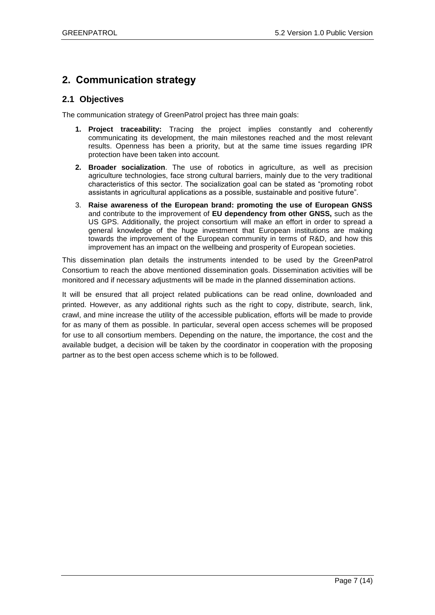### <span id="page-6-0"></span>**2. Communication strategy**

### <span id="page-6-1"></span>**2.1 Objectives**

The communication strategy of GreenPatrol project has three main goals:

- **1. Project traceability:** Tracing the project implies constantly and coherently communicating its development, the main milestones reached and the most relevant results. Openness has been a priority, but at the same time issues regarding IPR protection have been taken into account.
- **2. Broader socialization**. The use of robotics in agriculture, as well as precision agriculture technologies, face strong cultural barriers, mainly due to the very traditional characteristics of this sector. The socialization goal can be stated as "promoting robot assistants in agricultural applications as a possible, sustainable and positive future".
- 3. **Raise awareness of the European brand: promoting the use of European GNSS**  and contribute to the improvement of **EU dependency from other GNSS,** such as the US GPS. Additionally, the project consortium will make an effort in order to spread a general knowledge of the huge investment that European institutions are making towards the improvement of the European community in terms of R&D, and how this improvement has an impact on the wellbeing and prosperity of European societies.

This dissemination plan details the instruments intended to be used by the GreenPatrol Consortium to reach the above mentioned dissemination goals. Dissemination activities will be monitored and if necessary adjustments will be made in the planned dissemination actions.

It will be ensured that all project related publications can be read online, downloaded and printed. However, as any additional rights such as the right to copy, distribute, search, link, crawl, and mine increase the utility of the accessible publication, efforts will be made to provide for as many of them as possible. In particular, several open access schemes will be proposed for use to all consortium members. Depending on the nature, the importance, the cost and the available budget, a decision will be taken by the coordinator in cooperation with the proposing partner as to the best open access scheme which is to be followed.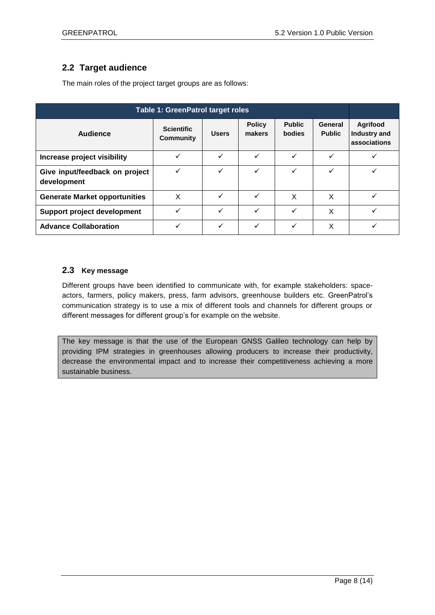### <span id="page-7-0"></span>**2.2 Target audience**

The main roles of the project target groups are as follows:

<span id="page-7-2"></span>

| Table 1: Green Patrol target roles            |                                       |              |                         |                                |                          |                                          |
|-----------------------------------------------|---------------------------------------|--------------|-------------------------|--------------------------------|--------------------------|------------------------------------------|
| Audience                                      | <b>Scientific</b><br><b>Community</b> | <b>Users</b> | <b>Policy</b><br>makers | <b>Public</b><br><b>bodies</b> | General<br><b>Public</b> | Agrifood<br>Industry and<br>associations |
| Increase project visibility                   | ✓                                     | ✓            | ✓                       | $\checkmark$                   | ✓                        |                                          |
| Give input/feedback on project<br>development | ✓                                     | ✓            | ✓                       | ✓                              | ✓                        |                                          |
| <b>Generate Market opportunities</b>          | Χ                                     | ✓            | ✓                       | X                              | X                        |                                          |
| <b>Support project development</b>            | $\checkmark$                          | $\checkmark$ | $\checkmark$            | $\checkmark$                   | X                        |                                          |
| <b>Advance Collaboration</b>                  | $\checkmark$                          | ✓            | ✓                       | ✓                              | X                        |                                          |

### <span id="page-7-1"></span>**2.3 Key message**

Different groups have been identified to communicate with, for example stakeholders: spaceactors, farmers, policy makers, press, farm advisors, greenhouse builders etc. GreenPatrol's communication strategy is to use a mix of different tools and channels for different groups or different messages for different group's for example on the website.

The key message is that the use of the European GNSS Galileo technology can help by providing IPM strategies in greenhouses allowing producers to increase their productivity, decrease the environmental impact and to increase their competitiveness achieving a more sustainable business.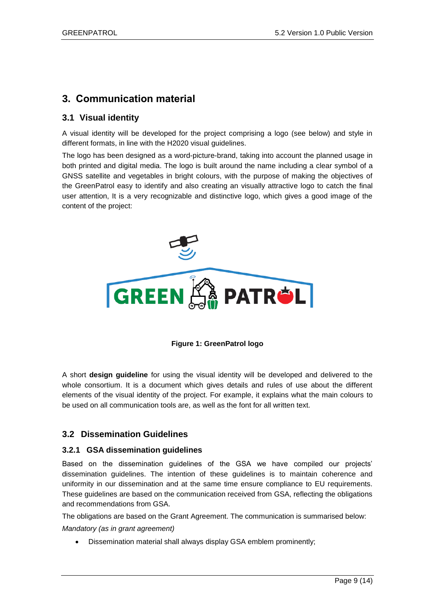### <span id="page-8-0"></span>**3. Communication material**

### <span id="page-8-1"></span>**3.1 Visual identity**

A visual identity will be developed for the project comprising a logo (see below) and style in different formats, in line with the H2020 visual guidelines.

The logo has been designed as a word-picture-brand, taking into account the planned usage in both printed and digital media. The logo is built around the name including a clear symbol of a GNSS satellite and vegetables in bright colours, with the purpose of making the objectives of the GreenPatrol easy to identify and also creating an visually attractive logo to catch the final user attention, It is a very recognizable and distinctive logo, which gives a good image of the content of the project:



**Figure 1: GreenPatrol logo**

<span id="page-8-4"></span>A short **design guideline** for using the visual identity will be developed and delivered to the whole consortium. It is a document which gives details and rules of use about the different elements of the visual identity of the project. For example, it explains what the main colours to be used on all communication tools are, as well as the font for all written text.

### <span id="page-8-2"></span>**3.2 Dissemination Guidelines**

### <span id="page-8-3"></span>**3.2.1 GSA dissemination guidelines**

Based on the dissemination guidelines of the GSA we have compiled our projects' dissemination guidelines. The intention of these guidelines is to maintain coherence and uniformity in our dissemination and at the same time ensure compliance to EU requirements. These guidelines are based on the communication received from GSA, reflecting the obligations and recommendations from GSA.

The obligations are based on the Grant Agreement. The communication is summarised below: *Mandatory (as in grant agreement)*

Dissemination material shall always display GSA emblem prominently;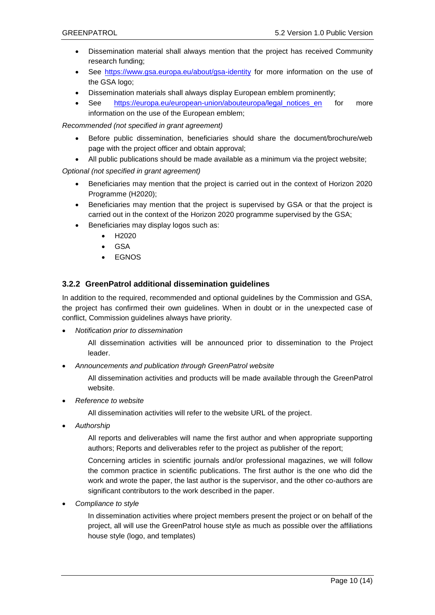- Dissemination material shall always mention that the project has received Community research funding;
- See<https://www.gsa.europa.eu/about/gsa-identity> for more information on the use of the GSA logo;
- Dissemination materials shall always display European emblem prominently;
- See [https://europa.eu/european-union/abouteuropa/legal\\_notices\\_en](https://europa.eu/european-union/abouteuropa/legal_notices_en) for more information on the use of the European emblem;

*Recommended (not specified in grant agreement)*

- Before public dissemination, beneficiaries should share the document/brochure/web page with the project officer and obtain approval;
- All public publications should be made available as a minimum via the project website;

#### *Optional (not specified in grant agreement)*

- Beneficiaries may mention that the project is carried out in the context of Horizon 2020 Programme (H2020);
- Beneficiaries may mention that the project is supervised by GSA or that the project is carried out in the context of the Horizon 2020 programme supervised by the GSA;
- Beneficiaries may display logos such as:
	- H2020
	- GSA
	- EGNOS

### <span id="page-9-0"></span>**3.2.2 GreenPatrol additional dissemination guidelines**

In addition to the required, recommended and optional guidelines by the Commission and GSA, the project has confirmed their own guidelines. When in doubt or in the unexpected case of conflict, Commission guidelines always have priority.

*Notification prior to dissemination*

All dissemination activities will be announced prior to dissemination to the Project leader.

*Announcements and publication through GreenPatrol website*

All dissemination activities and products will be made available through the GreenPatrol website.

*Reference to website*

All dissemination activities will refer to the website URL of the project.

*Authorship*

All reports and deliverables will name the first author and when appropriate supporting authors; Reports and deliverables refer to the project as publisher of the report;

Concerning articles in scientific journals and/or professional magazines, we will follow the common practice in scientific publications. The first author is the one who did the work and wrote the paper, the last author is the supervisor, and the other co-authors are significant contributors to the work described in the paper.

*Compliance to style*

In dissemination activities where project members present the project or on behalf of the project, all will use the GreenPatrol house style as much as possible over the affiliations house style (logo, and templates)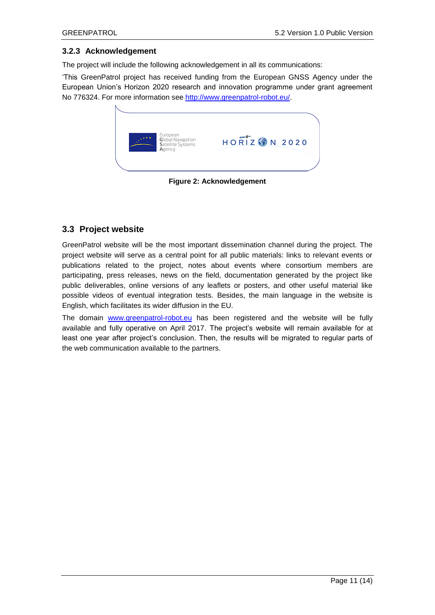#### <span id="page-10-0"></span>**3.2.3 Acknowledgement**

The project will include the following acknowledgement in all its communications:

'This GreenPatrol project has received funding from the European GNSS Agency under the European Union's Horizon 2020 research and innovation programme under grant agreement No 776324. For more information see [http://www.greenpatrol-robot.eu/.](http://www.greenpatrol-robot.eu/)

|  | European<br><b>Global Navigation</b><br>Satellite Systems<br>Agency | <b>HORIZ ON 2020</b> |  |
|--|---------------------------------------------------------------------|----------------------|--|
|  |                                                                     |                      |  |

**Figure 2: Acknowledgement**

### <span id="page-10-2"></span><span id="page-10-1"></span>**3.3 Project website**

GreenPatrol website will be the most important dissemination channel during the project. The project website will serve as a central point for all public materials: links to relevant events or publications related to the project, notes about events where consortium members are participating, press releases, news on the field, documentation generated by the project like public deliverables, online versions of any leaflets or posters, and other useful material like possible videos of eventual integration tests. Besides, the main language in the website is English, which facilitates its wider diffusion in the EU.

The domain [www.greenpatrol-robot.eu](http://www.greenpatrol-robot.eu/) has been registered and the website will be fully available and fully operative on April 2017. The project's website will remain available for at least one year after project's conclusion. Then, the results will be migrated to regular parts of the web communication available to the partners.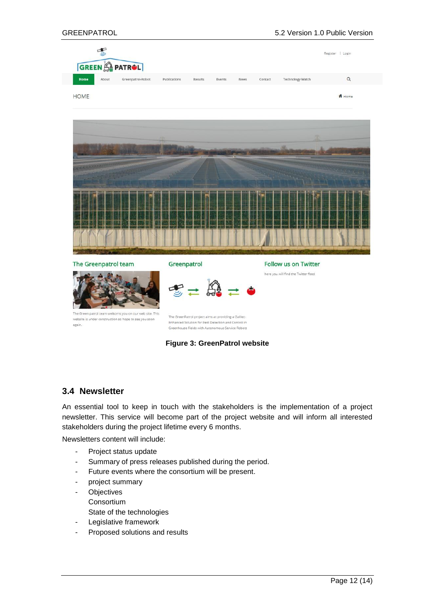| GREEN A PATROL                                                                                                             |                                                                                                                                                                |                |                                     | Register   Login |
|----------------------------------------------------------------------------------------------------------------------------|----------------------------------------------------------------------------------------------------------------------------------------------------------------|----------------|-------------------------------------|------------------|
| Home<br>About<br>Greenpatrol-Robot                                                                                         | Publications<br><b>Results</b>                                                                                                                                 | Events<br>News | Contact<br><b>Technology Watch</b>  | $\mathsf Q$      |
| <b>HOME</b>                                                                                                                |                                                                                                                                                                |                |                                     | A Home           |
|                                                                                                                            |                                                                                                                                                                |                |                                     |                  |
|                                                                                                                            |                                                                                                                                                                |                |                                     |                  |
|                                                                                                                            |                                                                                                                                                                |                |                                     |                  |
|                                                                                                                            |                                                                                                                                                                |                |                                     |                  |
| The Greenpatrol team                                                                                                       | Greenpatrol                                                                                                                                                    |                | <b>Follow us on Twitter</b>         |                  |
|                                                                                                                            | $\mathcal{F} = \mathbb{S} = \bullet$                                                                                                                           |                | here you will find the Twitter feed |                  |
| The Green patrol team welkoms you on our web site. This<br>website is under construction so hope to see you soon<br>again. | The GreenPatrol project aims at providing a Galileo<br>Enhanced Solution for Pest Detection and Control in<br>Greenhouse Fields with Autonomous Service Robots |                |                                     |                  |

**Figure 3: GreenPatrol website**

### <span id="page-11-1"></span><span id="page-11-0"></span>**3.4 Newsletter**

An essential tool to keep in touch with the stakeholders is the implementation of a project newsletter. This service will become part of the project website and will inform all interested stakeholders during the project lifetime every 6 months.

Newsletters content will include:

- Project status update
- Summary of press releases published during the period.
- Future events where the consortium will be present.
- project summary
- Objectives Consortium
	- State of the technologies
- Legislative framework
- Proposed solutions and results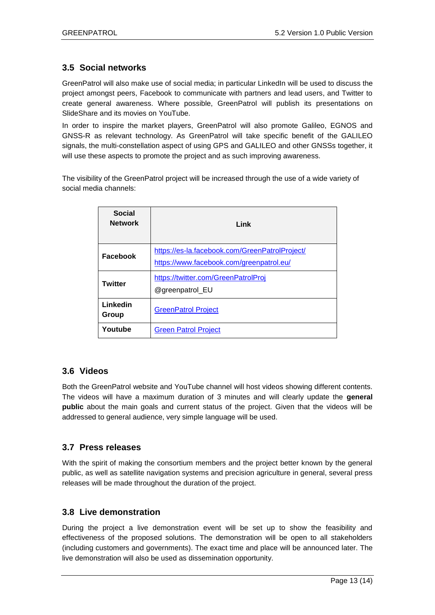### <span id="page-12-0"></span>**3.5 Social networks**

GreenPatrol will also make use of social media; in particular LinkedIn will be used to discuss the project amongst peers, Facebook to communicate with partners and lead users, and Twitter to create general awareness. Where possible, GreenPatrol will publish its presentations on SlideShare and its movies on YouTube.

In order to inspire the market players, GreenPatrol will also promote Galileo, EGNOS and GNSS-R as relevant technology. As GreenPatrol will take specific benefit of the GALILEO signals, the multi-constellation aspect of using GPS and GALILEO and other GNSSs together, it will use these aspects to promote the project and as such improving awareness.

The visibility of the GreenPatrol project will be increased through the use of a wide variety of social media channels:

| <b>Social</b><br><b>Network</b> | Link                                                                                       |
|---------------------------------|--------------------------------------------------------------------------------------------|
| Facebook                        | https://es-la.facebook.com/GreenPatrolProject/<br>https://www.facebook.com/greenpatrol.eu/ |
| <b>Twitter</b>                  | https://twitter.com/GreenPatrolProj<br>@greenpatrol_EU                                     |
| Linkedin<br>Group               | <b>GreenPatrol Project</b>                                                                 |
| Youtube                         | <b>Green Patrol Project</b>                                                                |

### <span id="page-12-1"></span>**3.6 Videos**

Both the GreenPatrol website and YouTube channel will host videos showing different contents. The videos will have a maximum duration of 3 minutes and will clearly update the **general public** about the main goals and current status of the project. Given that the videos will be addressed to general audience, very simple language will be used.

### <span id="page-12-2"></span>**3.7 Press releases**

With the spirit of making the consortium members and the project better known by the general public, as well as satellite navigation systems and precision agriculture in general, several press releases will be made throughout the duration of the project.

### <span id="page-12-3"></span>**3.8 Live demonstration**

During the project a live demonstration event will be set up to show the feasibility and effectiveness of the proposed solutions. The demonstration will be open to all stakeholders (including customers and governments). The exact time and place will be announced later. The live demonstration will also be used as dissemination opportunity.